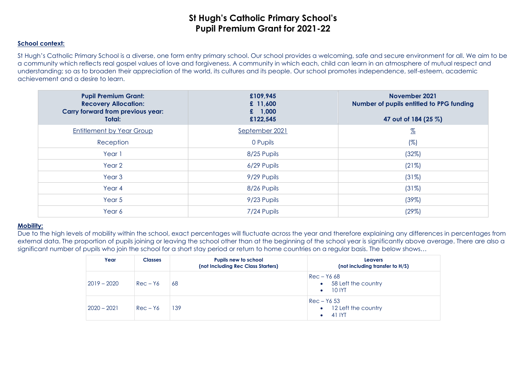### **School context:**

St Hugh's Catholic Primary School is a diverse, one form entry primary school. Our school provides a welcoming, safe and secure environment for all. We aim to be a community which reflects real gospel values of love and forgiveness. A community in which each, child can learn in an atmosphere of mutual respect and understanding; so as to broaden their appreciation of the world, its cultures and its people. Our school promotes independence, self-esteem, academic achievement and a desire to learn.

| <b>Pupil Premium Grant:</b><br><b>Recovery Allocation:</b><br><b>Carry forward from previous year:</b><br>Total: | £109,945<br>£ $11,600$<br>£ $1,000$<br>£122,545 | November 2021<br>Number of pupils entitled to PPG funding<br>47 out of 184 (25 %) |
|------------------------------------------------------------------------------------------------------------------|-------------------------------------------------|-----------------------------------------------------------------------------------|
| <b>Entitlement by Year Group</b>                                                                                 | September 2021                                  | $\frac{\%}{\%}$                                                                   |
| Reception                                                                                                        | 0 Pupils                                        | $(\%)$                                                                            |
| Year 1                                                                                                           | 8/25 Pupils                                     | (32%)                                                                             |
| Year <sub>2</sub>                                                                                                | 6/29 Pupils                                     | (21%)                                                                             |
| Year <sub>3</sub>                                                                                                | 9/29 Pupils                                     | (31%)                                                                             |
| Year 4                                                                                                           | 8/26 Pupils                                     | (31%)                                                                             |
| Year <sub>5</sub>                                                                                                | 9/23 Pupils                                     | (39%)                                                                             |
| Year 6                                                                                                           | 7/24 Pupils                                     | (29%)                                                                             |

#### **Mobility:**

Due to the high levels of mobility within the school, exact percentages will fluctuate across the year and therefore explaining any differences in percentages from external data. The proportion of pupils joining or leaving the school other than at the beginning of the school year is significantly above average. There are also a significant number of pupils who join the school for a short stay period or return to home countries on a regular basis. The below shows…

| Year          | <b>Classes</b> | Pupils new to school<br>(not Including Rec Class Starters) | <b>Leavers</b><br>(not including transfer to H/S)                |
|---------------|----------------|------------------------------------------------------------|------------------------------------------------------------------|
| $2019 - 2020$ | $Rec - Y6$     | 68                                                         | Rec – Y6 68<br>58 Left the country<br>$\bullet$<br><b>10 IYT</b> |
| $2020 - 2021$ | $Rec - Y6$     | 139                                                        | $Rec - Y653$<br>12 Left the country<br>$\bullet$<br>41 IYT       |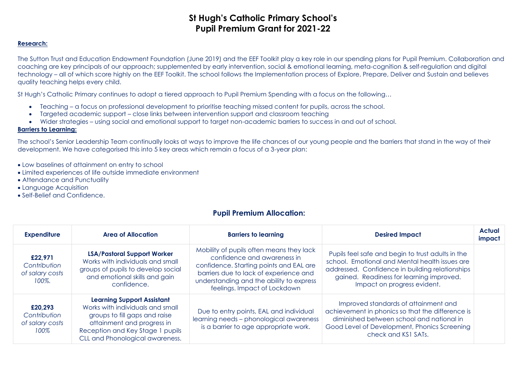### **Research:**

The Sutton Trust and Education Endowment Foundation (June 2019) and the EEF Toolkit play a key role in our spending plans for Pupil Premium. Collaboration and coaching are key principals of our approach; supplemented by early intervention, social & emotional learning, meta-cognition & self-regulation and digital technology – all of which score highly on the EEF Toolkit. The school follows the Implementation process of Explore, Prepare, Deliver and Sustain and believes quality teaching helps every child.

St Hugh's Catholic Primary continues to adopt a tiered approach to Pupil Premium Spending with a focus on the following…

- Teaching a focus on professional development to prioritise teaching missed content for pupils, across the school.
- Targeted academic support close links between intervention support and classroom teaching
- Wider strategies using social and emotional support to target non-academic barriers to success in and out of school.

### **Barriers to Learning:**

The school's Senior Leadership Team continually looks at ways to improve the life chances of our young people and the barriers that stand in the way of their development. We have categorised this into 5 key areas which remain a focus of a 3-year plan:

- Low baselines of attainment on entry to school
- Limited experiences of life outside immediate environment
- Attendance and Punctuality
- Language Acquisition
- Self-Belief and Confidence.

### **Pupil Premium Allocation:**

| <b>Expenditure</b>                                  | Area of Allocation                                                                                                                                                                                          | <b>Barriers to learning</b>                                                                                                                                                                                                              | <b>Desired Impact</b>                                                                                                                                                                                                             | <b>Actual</b><br>impact |
|-----------------------------------------------------|-------------------------------------------------------------------------------------------------------------------------------------------------------------------------------------------------------------|------------------------------------------------------------------------------------------------------------------------------------------------------------------------------------------------------------------------------------------|-----------------------------------------------------------------------------------------------------------------------------------------------------------------------------------------------------------------------------------|-------------------------|
| £22,971<br>Contribution<br>of salary costs<br>100%. | <b>LSA/Pastoral Support Worker</b><br>Works with individuals and small<br>groups of pupils to develop social<br>and emotional skills and gain<br>confidence.                                                | Mobility of pupils often means they lack<br>confidence and awareness in<br>confidence. Starting points and EAL are<br>barriers due to lack of experience and<br>understanding and the ability to express<br>feelings. Impact of Lockdown | Pupils feel safe and begin to trust adults in the<br>school. Emotional and Mental health issues are<br>addressed. Confidence in building relationships<br>gained. Readiness for learning improved.<br>Impact on progress evident. |                         |
| £20.293<br>Contribution<br>of salary costs<br>100%  | <b>Learning Support Assistant</b><br>Works with individuals and small<br>groups to fill gaps and raise<br>attainment and progress in<br>Reception and Key Stage 1 pupils<br>CLL and Phonological awareness. | Due to entry points, EAL and individual<br>learning needs - phonological awareness<br>is a barrier to age appropriate work.                                                                                                              | Improved standards of attainment and<br>achievement in phonics so that the difference is<br>diminished between school and national in<br>Good Level of Development, Phonics Screening<br>check and KS1 SATs.                      |                         |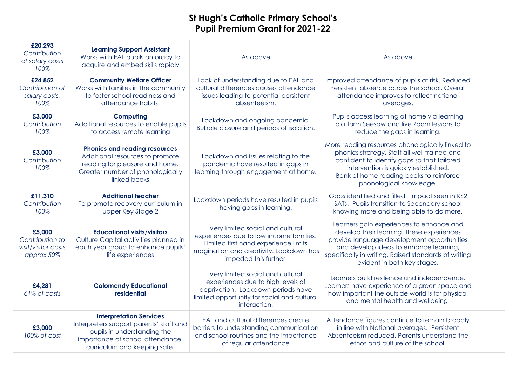| £20,293<br>Contribution<br>of salary costs<br>100%             | <b>Learning Support Assistant</b><br>Works with EAL pupils on oracy to<br>acquire and embed skills rapidly                                                                   | As above                                                                                                                                                                                 | As above                                                                                                                                                                                                                                                             |  |
|----------------------------------------------------------------|------------------------------------------------------------------------------------------------------------------------------------------------------------------------------|------------------------------------------------------------------------------------------------------------------------------------------------------------------------------------------|----------------------------------------------------------------------------------------------------------------------------------------------------------------------------------------------------------------------------------------------------------------------|--|
| £24,852<br>Contribution of<br>salary costs,<br>100%            | <b>Community Welfare Officer</b><br>Works with families in the community<br>to foster school readiness and<br>attendance habits.                                             | Lack of understanding due to EAL and<br>cultural differences causes attendance<br>issues leading to potential persistent<br>absenteeism.                                                 | Improved attendance of pupils at risk. Reduced<br>Persistent absence across the school. Overall<br>attendance improves to reflect national<br>averages.                                                                                                              |  |
| £3,000<br>Contribution<br>100%                                 | Computing<br>Additional resources to enable pupils<br>to access remote learning                                                                                              | Lockdown and ongoing pandemic.<br>Bubble closure and periods of isolation.                                                                                                               | Pupils access learning at home via learning<br>platform Seesaw and live Zoom lessons to<br>reduce the gaps in learning.                                                                                                                                              |  |
| £3,000<br>Contribution<br>100%                                 | <b>Phonics and reading resources</b><br>Additional resources to promote<br>reading for pleasure and home.<br>Greater number of phonologically<br>linked books                | Lockdown and issues relating to the<br>pandemic have resulted in gaps in<br>learning through engagement at home.                                                                         | More reading resources phonologically linked to<br>phonics strategy. Staff all well trained and<br>confident to identify gaps so that tailored<br>intervention is quickly established.<br>Bank of home reading books to reinforce<br>phonological knowledge.         |  |
| £11,310<br>Contribution<br>100%                                | <b>Additional teacher</b><br>To promote recovery curriculum in<br>upper Key Stage 2                                                                                          | Lockdown periods have resulted in pupils<br>having gaps in learning.                                                                                                                     | Gaps identified and filled. Impact seen in KS2<br>SATs. Pupils transition to Secondary school<br>knowing more and being able to do more.                                                                                                                             |  |
| £5,000<br>Contribution to<br>visit/visitor costs<br>approx 50% | <b>Educational visits/visitors</b><br>Culture Capital activities planned in<br>each year group to enhance pupils'<br>life experiences                                        | Very limited social and cultural<br>experiences due to low income families.<br>Limited first hand experience limits<br>imagination and creativity. Lockdown has<br>impeded this further. | Learners gain experiences to enhance and<br>develop their learning. These experiences<br>provide language development opportunities<br>and develop ideas to enhance learning,<br>specifically in writing. Raised standards of writing<br>evident in both key stages. |  |
| £4,281<br>61% of costs                                         | <b>Colomendy Educational</b><br>residential                                                                                                                                  | Very limited social and cultural<br>experiences due to high levels of<br>deprivation. Lockdown periods have<br>limited opportunity for social and cultural<br>interaction.               | Learners build resilience and independence.<br>Learners have experience of a green space and<br>how important the outside world is for physical<br>and mental health and wellbeing.                                                                                  |  |
| £3,000<br>100% of cost                                         | <b>Interpretation Services</b><br>Interpreters support parents' staff and<br>pupils in understanding the<br>importance of school attendance,<br>curriculum and keeping safe. | EAL and cultural differences create<br>barriers to understanding communication<br>and school routines and the importance<br>of regular attendance                                        | Attendance figures continue to remain broadly<br>in line with National averages. Persistent<br>Absenteeism reduced. Parents understand the<br>ethos and culture of the school.                                                                                       |  |